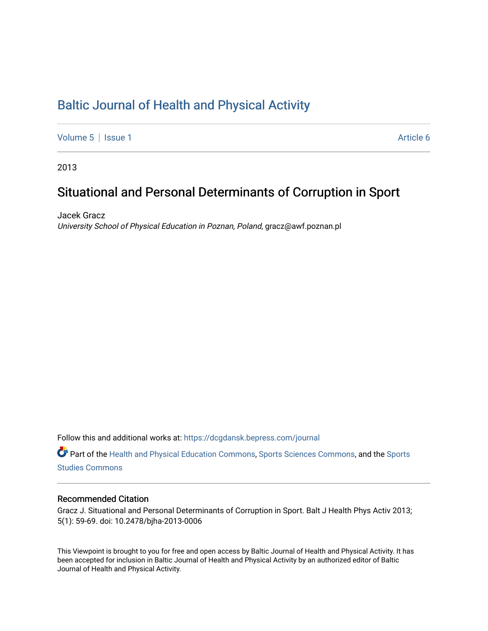# [Baltic Journal of Health and Physical Activity](https://dcgdansk.bepress.com/journal)

[Volume 5](https://dcgdansk.bepress.com/journal/vol5) | [Issue 1](https://dcgdansk.bepress.com/journal/vol5/iss1) Article 6

2013

# Situational and Personal Determinants of Corruption in Sport

Jacek Gracz University School of Physical Education in Poznan, Poland, gracz@awf.poznan.pl

Follow this and additional works at: [https://dcgdansk.bepress.com/journal](https://dcgdansk.bepress.com/journal?utm_source=dcgdansk.bepress.com%2Fjournal%2Fvol5%2Fiss1%2F6&utm_medium=PDF&utm_campaign=PDFCoverPages)

Part of the [Health and Physical Education Commons](http://network.bepress.com/hgg/discipline/1327?utm_source=dcgdansk.bepress.com%2Fjournal%2Fvol5%2Fiss1%2F6&utm_medium=PDF&utm_campaign=PDFCoverPages), [Sports Sciences Commons](http://network.bepress.com/hgg/discipline/759?utm_source=dcgdansk.bepress.com%2Fjournal%2Fvol5%2Fiss1%2F6&utm_medium=PDF&utm_campaign=PDFCoverPages), and the [Sports](http://network.bepress.com/hgg/discipline/1198?utm_source=dcgdansk.bepress.com%2Fjournal%2Fvol5%2Fiss1%2F6&utm_medium=PDF&utm_campaign=PDFCoverPages)  [Studies Commons](http://network.bepress.com/hgg/discipline/1198?utm_source=dcgdansk.bepress.com%2Fjournal%2Fvol5%2Fiss1%2F6&utm_medium=PDF&utm_campaign=PDFCoverPages) 

#### Recommended Citation

Gracz J. Situational and Personal Determinants of Corruption in Sport. Balt J Health Phys Activ 2013; 5(1): 59-69. doi: 10.2478/bjha-2013-0006

This Viewpoint is brought to you for free and open access by Baltic Journal of Health and Physical Activity. It has been accepted for inclusion in Baltic Journal of Health and Physical Activity by an authorized editor of Baltic Journal of Health and Physical Activity.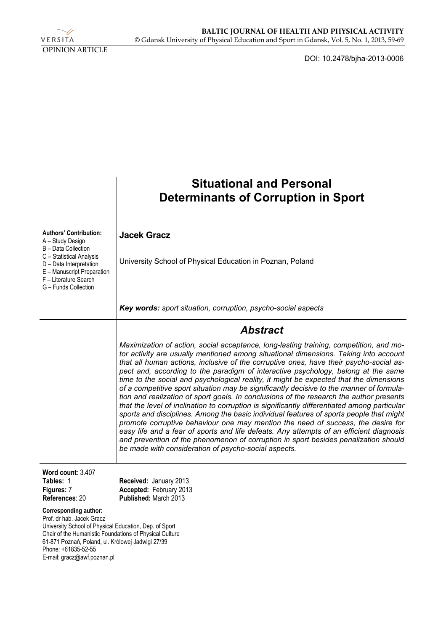

DOI: 10.2478/bjha-2013-0006

|                                                                                                                                                                                                                                                                                           | <b>Situational and Personal</b><br><b>Determinants of Corruption in Sport</b>                                                                                                                                                                                                                                                                                                                                                                                                                                                                                                                                                                                                                                                                                                                                                                                                                                                                                                                                                                                                                                                                                           |
|-------------------------------------------------------------------------------------------------------------------------------------------------------------------------------------------------------------------------------------------------------------------------------------------|-------------------------------------------------------------------------------------------------------------------------------------------------------------------------------------------------------------------------------------------------------------------------------------------------------------------------------------------------------------------------------------------------------------------------------------------------------------------------------------------------------------------------------------------------------------------------------------------------------------------------------------------------------------------------------------------------------------------------------------------------------------------------------------------------------------------------------------------------------------------------------------------------------------------------------------------------------------------------------------------------------------------------------------------------------------------------------------------------------------------------------------------------------------------------|
| <b>Authors' Contribution:</b><br>A - Study Design                                                                                                                                                                                                                                         | <b>Jacek Gracz</b>                                                                                                                                                                                                                                                                                                                                                                                                                                                                                                                                                                                                                                                                                                                                                                                                                                                                                                                                                                                                                                                                                                                                                      |
| B - Data Collection<br>C - Statistical Analysis<br>D - Data Interpretation<br>E - Manuscript Preparation<br>F - Literature Search<br>G - Funds Collection                                                                                                                                 | University School of Physical Education in Poznan, Poland                                                                                                                                                                                                                                                                                                                                                                                                                                                                                                                                                                                                                                                                                                                                                                                                                                                                                                                                                                                                                                                                                                               |
|                                                                                                                                                                                                                                                                                           | Key words: sport situation, corruption, psycho-social aspects                                                                                                                                                                                                                                                                                                                                                                                                                                                                                                                                                                                                                                                                                                                                                                                                                                                                                                                                                                                                                                                                                                           |
|                                                                                                                                                                                                                                                                                           | <b>Abstract</b>                                                                                                                                                                                                                                                                                                                                                                                                                                                                                                                                                                                                                                                                                                                                                                                                                                                                                                                                                                                                                                                                                                                                                         |
|                                                                                                                                                                                                                                                                                           | Maximization of action, social acceptance, long-lasting training, competition, and mo-<br>tor activity are usually mentioned among situational dimensions. Taking into account<br>that all human actions, inclusive of the corruptive ones, have their psycho-social as-<br>pect and, according to the paradigm of interactive psychology, belong at the same<br>time to the social and psychological reality, it might be expected that the dimensions<br>of a competitive sport situation may be significantly decisive to the manner of formula-<br>tion and realization of sport goals. In conclusions of the research the author presents<br>that the level of inclination to corruption is significantly differentiated among particular<br>sports and disciplines. Among the basic individual features of sports people that might<br>promote corruptive behaviour one may mention the need of success, the desire for<br>easy life and a fear of sports and life defeats. Any attempts of an efficient diagnosis<br>and prevention of the phenomenon of corruption in sport besides penalization should<br>be made with consideration of psycho-social aspects. |
| Word count: 3.407<br>Tables: 1<br>Figures: 7<br>References: 20                                                                                                                                                                                                                            | Received: January 2013<br>Accepted: February 2013<br>Published: March 2013                                                                                                                                                                                                                                                                                                                                                                                                                                                                                                                                                                                                                                                                                                                                                                                                                                                                                                                                                                                                                                                                                              |
| <b>Corresponding author:</b><br>Prof. dr hab. Jacek Gracz<br>University School of Physical Education, Dep. of Sport<br>Chair of the Humanistic Foundations of Physical Culture<br>61-871 Poznań, Poland, ul. Królowej Jadwigi 27/39<br>Phone: +61835-52-55<br>E-mail: gracz@awf.poznan.pl |                                                                                                                                                                                                                                                                                                                                                                                                                                                                                                                                                                                                                                                                                                                                                                                                                                                                                                                                                                                                                                                                                                                                                                         |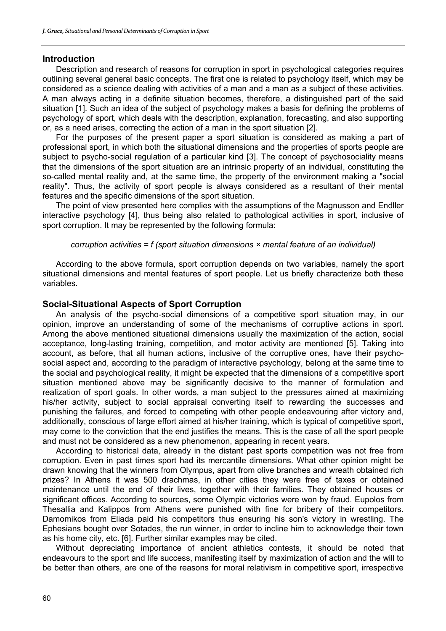#### **Introduction**

Description and research of reasons for corruption in sport in psychological categories requires outlining several general basic concepts. The first one is related to psychology itself, which may be considered as a science dealing with activities of a man and a man as a subject of these activities. A man always acting in a definite situation becomes, therefore, a distinguished part of the said situation [1]. Such an idea of the subject of psychology makes a basis for defining the problems of psychology of sport, which deals with the description, explanation, forecasting, and also supporting or, as a need arises, correcting the action of a man in the sport situation [2].

For the purposes of the present paper a sport situation is considered as making a part of professional sport, in which both the situational dimensions and the properties of sports people are subject to psycho-social regulation of a particular kind [3]. The concept of psychosociality means that the dimensions of the sport situation are an intrinsic property of an individual, constituting the so-called mental reality and, at the same time, the property of the environment making a "social reality". Thus, the activity of sport people is always considered as a resultant of their mental features and the specific dimensions of the sport situation.

The point of view presented here complies with the assumptions of the Magnusson and Endller interactive psychology [4], thus being also related to pathological activities in sport, inclusive of sport corruption. It may be represented by the following formula:

#### *corruption activities = f (sport situation dimensions × mental feature of an individual)*

According to the above formula, sport corruption depends on two variables, namely the sport situational dimensions and mental features of sport people. Let us briefly characterize both these variables.

#### **Social-Situational Aspects of Sport Corruption**

An analysis of the psycho-social dimensions of a competitive sport situation may, in our opinion, improve an understanding of some of the mechanisms of corruptive actions in sport. Among the above mentioned situational dimensions usually the maximization of the action, social acceptance, long-lasting training, competition, and motor activity are mentioned [5]. Taking into account, as before, that all human actions, inclusive of the corruptive ones, have their psychosocial aspect and, according to the paradigm of interactive psychology, belong at the same time to the social and psychological reality, it might be expected that the dimensions of a competitive sport situation mentioned above may be significantly decisive to the manner of formulation and realization of sport goals. In other words, a man subject to the pressures aimed at maximizing his/her activity, subject to social appraisal converting itself to rewarding the successes and punishing the failures, and forced to competing with other people endeavouring after victory and, additionally, conscious of large effort aimed at his/her training, which is typical of competitive sport, may come to the conviction that the end justifies the means. This is the case of all the sport people and must not be considered as a new phenomenon, appearing in recent years.

According to historical data, already in the distant past sports competition was not free from corruption. Even in past times sport had its mercantile dimensions. What other opinion might be drawn knowing that the winners from Olympus, apart from olive branches and wreath obtained rich prizes? In Athens it was 500 drachmas, in other cities they were free of taxes or obtained maintenance until the end of their lives, together with their families. They obtained houses or significant offices. According to sources, some Olympic victories were won by fraud. Eupolos from Thesallia and Kalippos from Athens were punished with fine for bribery of their competitors. Damomikos from Eliada paid his competitors thus ensuring his son's victory in wrestling. The Ephesians bought over Sotades, the run winner, in order to incline him to acknowledge their town as his home city, etc. [6]. Further similar examples may be cited.

Without depreciating importance of ancient athletics contests, it should be noted that endeavours to the sport and life success, manifesting itself by maximization of action and the will to be better than others, are one of the reasons for moral relativism in competitive sport, irrespective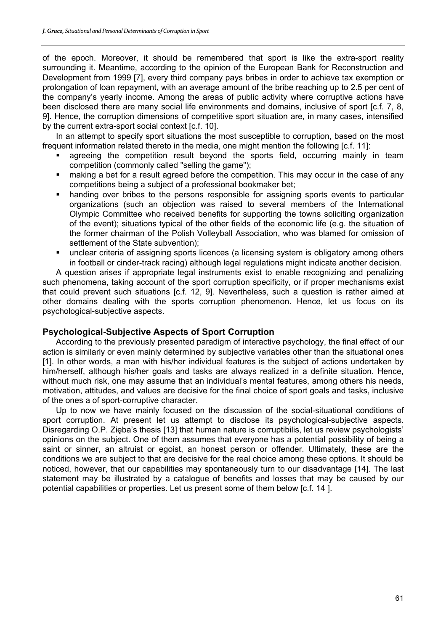of the epoch. Moreover, it should be remembered that sport is like the extra-sport reality surrounding it. Meantime, according to the opinion of the European Bank for Reconstruction and Development from 1999 [7], every third company pays bribes in order to achieve tax exemption or prolongation of loan repayment, with an average amount of the bribe reaching up to 2.5 per cent of the company's yearly income. Among the areas of public activity where corruptive actions have been disclosed there are many social life environments and domains, inclusive of sport [c.f. 7, 8, 9]. Hence, the corruption dimensions of competitive sport situation are, in many cases, intensified by the current extra-sport social context [c.f. 10].

In an attempt to specify sport situations the most susceptible to corruption, based on the most frequent information related thereto in the media, one might mention the following [c.f. 11]:

- agreeing the competition result beyond the sports field, occurring mainly in team competition (commonly called "selling the game");
- making a bet for a result agreed before the competition. This may occur in the case of any competitions being a subject of a professional bookmaker bet;
- handing over bribes to the persons responsible for assigning sports events to particular organizations (such an objection was raised to several members of the International Olympic Committee who received benefits for supporting the towns soliciting organization of the event); situations typical of the other fields of the economic life (e.g. the situation of the former chairman of the Polish Volleyball Association, who was blamed for omission of settlement of the State subvention);
- unclear criteria of assigning sports licences (a licensing system is obligatory among others in football or cinder-track racing) although legal regulations might indicate another decision.

A question arises if appropriate legal instruments exist to enable recognizing and penalizing such phenomena, taking account of the sport corruption specificity, or if proper mechanisms exist that could prevent such situations [c.f. 12, 9]. Nevertheless, such a question is rather aimed at other domains dealing with the sports corruption phenomenon. Hence, let us focus on its psychological-subjective aspects.

## **Psychological-Subjective Aspects of Sport Corruption**

According to the previously presented paradigm of interactive psychology, the final effect of our action is similarly or even mainly determined by subjective variables other than the situational ones [1]. In other words, a man with his/her individual features is the subject of actions undertaken by him/herself, although his/her goals and tasks are always realized in a definite situation. Hence, without much risk, one may assume that an individual's mental features, among others his needs, motivation, attitudes, and values are decisive for the final choice of sport goals and tasks, inclusive of the ones a of sport-corruptive character.

Up to now we have mainly focused on the discussion of the social-situational conditions of sport corruption. At present let us attempt to disclose its psychological-subjective aspects. Disregarding O.P. Zięba's thesis [13] that human nature is corruptibilis, let us review psychologists' opinions on the subject. One of them assumes that everyone has a potential possibility of being a saint or sinner, an altruist or egoist, an honest person or offender. Ultimately, these are the conditions we are subject to that are decisive for the real choice among these options. It should be noticed, however, that our capabilities may spontaneously turn to our disadvantage [14]. The last statement may be illustrated by a catalogue of benefits and losses that may be caused by our potential capabilities or properties. Let us present some of them below [c.f. 14 ].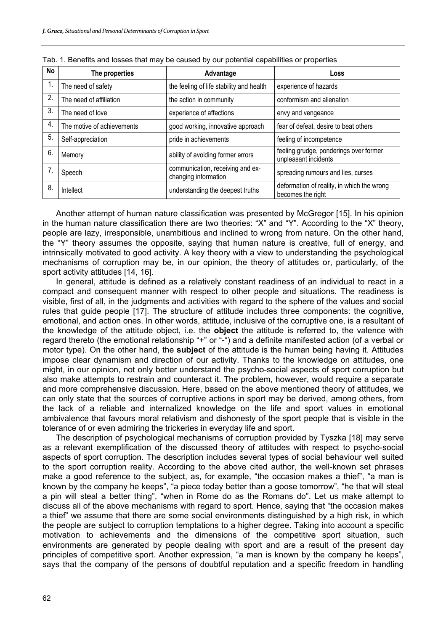| No | The properties             | Advantage                                                | Loss                                                            |
|----|----------------------------|----------------------------------------------------------|-----------------------------------------------------------------|
| 1. | The need of safety         | the feeling of life stability and health                 | experience of hazards                                           |
| 2. | The need of affiliation    | the action in community                                  | conformism and alienation                                       |
| 3. | The need of love           | experience of affections                                 | envy and vengeance                                              |
| 4. | The motive of achievements | good working, innovative approach                        | fear of defeat, desire to beat others                           |
| 5. | Self-appreciation          | pride in achievements                                    | feeling of incompetence                                         |
| 6. | Memory                     | ability of avoiding former errors                        | feeling grudge, ponderings over former<br>unpleasant incidents  |
|    | Speech                     | communication, receiving and ex-<br>changing information | spreading rumours and lies, curses                              |
| 8. | Intellect                  | understanding the deepest truths                         | deformation of reality, in which the wrong<br>becomes the right |

| Tab. 1. Benefits and losses that may be caused by our potential capabilities or properties |
|--------------------------------------------------------------------------------------------|
|--------------------------------------------------------------------------------------------|

Another attempt of human nature classification was presented by McGregor [15]. In his opinion in the human nature classification there are two theories: "X" and "Y". According to the "X" theory, people are lazy, irresponsible, unambitious and inclined to wrong from nature. On the other hand, the "Y" theory assumes the opposite, saying that human nature is creative, full of energy, and intrinsically motivated to good activity. A key theory with a view to understanding the psychological mechanisms of corruption may be, in our opinion, the theory of attitudes or, particularly, of the sport activity attitudes [14, 16].

In general, attitude is defined as a relatively constant readiness of an individual to react in a compact and consequent manner with respect to other people and situations. The readiness is visible, first of all, in the judgments and activities with regard to the sphere of the values and social rules that guide people [17]. The structure of attitude includes three components: the cognitive, emotional, and action ones. In other words, attitude, inclusive of the corruptive one, is a resultant of the knowledge of the attitude object, i.e. the **object** the attitude is referred to, the valence with regard thereto (the emotional relationship "+" or "-") and a definite manifested action (of a verbal or motor type). On the other hand, the **subject** of the attitude is the human being having it. Attitudes impose clear dynamism and direction of our activity. Thanks to the knowledge on attitudes, one might, in our opinion, not only better understand the psycho-social aspects of sport corruption but also make attempts to restrain and counteract it. The problem, however, would require a separate and more comprehensive discussion. Here, based on the above mentioned theory of attitudes, we can only state that the sources of corruptive actions in sport may be derived, among others, from the lack of a reliable and internalized knowledge on the life and sport values in emotional ambivalence that favours moral relativism and dishonesty of the sport people that is visible in the tolerance of or even admiring the trickeries in everyday life and sport.

The description of psychological mechanisms of corruption provided by Tyszka [18] may serve as a relevant exemplification of the discussed theory of attitudes with respect to psycho-social aspects of sport corruption. The description includes several types of social behaviour well suited to the sport corruption reality. According to the above cited author, the well-known set phrases make a good reference to the subject, as, for example, "the occasion makes a thief", "a man is known by the company he keeps", "a piece today better than a goose tomorrow", "he that will steal a pin will steal a better thing", "when in Rome do as the Romans do". Let us make attempt to discuss all of the above mechanisms with regard to sport. Hence, saying that "the occasion makes a thief" we assume that there are some social environments distinguished by a high risk, in which the people are subject to corruption temptations to a higher degree. Taking into account a specific motivation to achievements and the dimensions of the competitive sport situation, such environments are generated by people dealing with sport and are a result of the present day principles of competitive sport. Another expression, "a man is known by the company he keeps", says that the company of the persons of doubtful reputation and a specific freedom in handling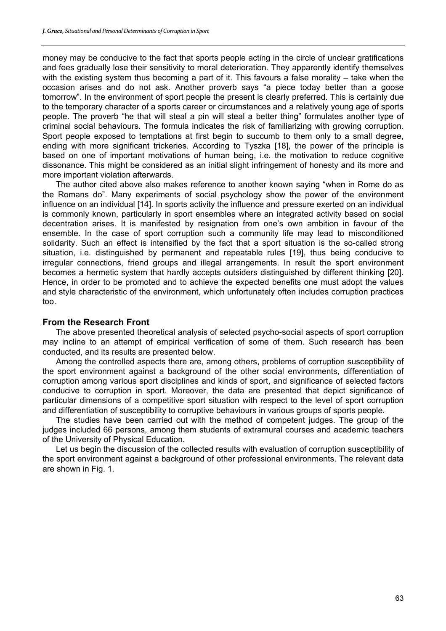money may be conducive to the fact that sports people acting in the circle of unclear gratifications and fees gradually lose their sensitivity to moral deterioration. They apparently identify themselves with the existing system thus becoming a part of it. This favours a false morality – take when the occasion arises and do not ask. Another proverb says "a piece today better than a goose tomorrow". In the environment of sport people the present is clearly preferred. This is certainly due to the temporary character of a sports career or circumstances and a relatively young age of sports people. The proverb "he that will steal a pin will steal a better thing" formulates another type of criminal social behaviours. The formula indicates the risk of familiarizing with growing corruption. Sport people exposed to temptations at first begin to succumb to them only to a small degree, ending with more significant trickeries. According to Tyszka [18], the power of the principle is based on one of important motivations of human being, i.e. the motivation to reduce cognitive dissonance. This might be considered as an initial slight infringement of honesty and its more and more important violation afterwards.

The author cited above also makes reference to another known saying "when in Rome do as the Romans do". Many experiments of social psychology show the power of the environment influence on an individual [14]. In sports activity the influence and pressure exerted on an individual is commonly known, particularly in sport ensembles where an integrated activity based on social decentration arises. It is manifested by resignation from one's own ambition in favour of the ensemble. In the case of sport corruption such a community life may lead to misconditioned solidarity. Such an effect is intensified by the fact that a sport situation is the so-called strong situation, i.e. distinguished by permanent and repeatable rules [19], thus being conducive to irregular connections, friend groups and illegal arrangements. In result the sport environment becomes a hermetic system that hardly accepts outsiders distinguished by different thinking [20]. Hence, in order to be promoted and to achieve the expected benefits one must adopt the values and style characteristic of the environment, which unfortunately often includes corruption practices too.

## **From the Research Front**

The above presented theoretical analysis of selected psycho-social aspects of sport corruption may incline to an attempt of empirical verification of some of them. Such research has been conducted, and its results are presented below.

Among the controlled aspects there are, among others, problems of corruption susceptibility of the sport environment against a background of the other social environments, differentiation of corruption among various sport disciplines and kinds of sport, and significance of selected factors conducive to corruption in sport. Moreover, the data are presented that depict significance of particular dimensions of a competitive sport situation with respect to the level of sport corruption and differentiation of susceptibility to corruptive behaviours in various groups of sports people.

The studies have been carried out with the method of competent judges. The group of the judges included 66 persons, among them students of extramural courses and academic teachers of the University of Physical Education.

Let us begin the discussion of the collected results with evaluation of corruption susceptibility of the sport environment against a background of other professional environments. The relevant data are shown in Fig. 1.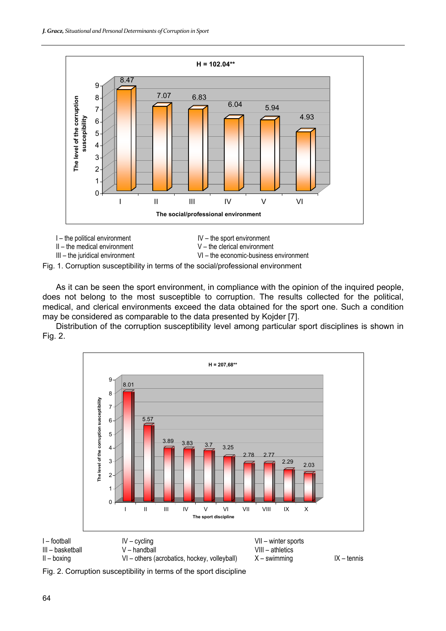



Fig. 1. Corruption susceptibility in terms of the social/professional environment

As it can be seen the sport environment, in compliance with the opinion of the inquired people, does not belong to the most susceptible to corruption. The results collected for the political, medical, and clerical environments exceed the data obtained for the sport one. Such a condition may be considered as comparable to the data presented by Kojder [7].

Distribution of the corruption susceptibility level among particular sport disciplines is shown in Fig. 2.



Fig. 2. Corruption susceptibility in terms of the sport discipline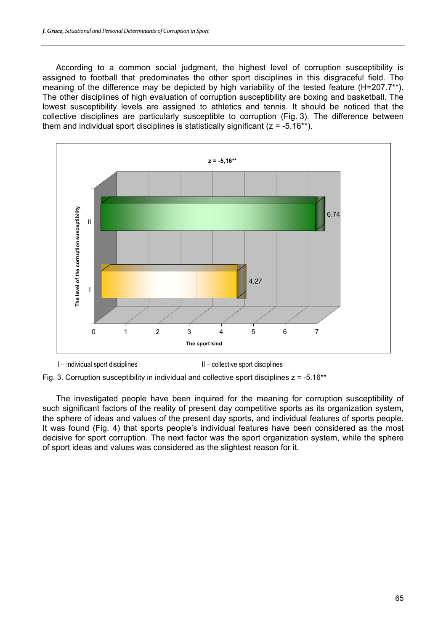According to a common social judgment, the highest level of corruption susceptibility is assigned to football that predominates the other sport disciplines in this disgraceful field. The meaning of the difference may be depicted by high variability of the tested feature (H=207.7<sup>\*\*</sup>). The other disciplines of high evaluation of corruption susceptibility are boxing and basketball. The lowest susceptibility levels are assigned to athletics and tennis. It should be noticed that the collective disciplines are particularly susceptible to corruption (Fig. 3). The difference between them and individual sport disciplines is statistically significant ( $z = -5.16**$ ).





Fig. 3. Corruption susceptibility in individual and collective sport disciplines  $z = -5.16**$ 

The investigated people have been inquired for the meaning for corruption susceptibility of such significant factors of the reality of present day competitive sports as its organization system, the sphere of ideas and values of the present day sports, and individual features of sports people. It was found (Fig. 4) that sports people's individual features have been considered as the most decisive for sport corruption. The next factor was the sport organization system, while the sphere of sport ideas and values was considered as the slightest reason for it.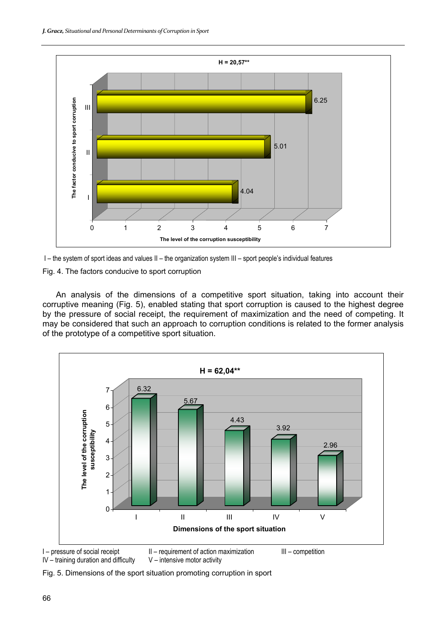



Fig. 4. The factors conducive to sport corruption

An analysis of the dimensions of a competitive sport situation, taking into account their corruptive meaning (Fig. 5), enabled stating that sport corruption is caused to the highest degree by the pressure of social receipt, the requirement of maximization and the need of competing. It may be considered that such an approach to corruption conditions is related to the former analysis of the prototype of a competitive sport situation.



 $IV -$  training duration and difficulty  $V -$  intensive motor activity

Fig. 5. Dimensions of the sport situation promoting corruption in sport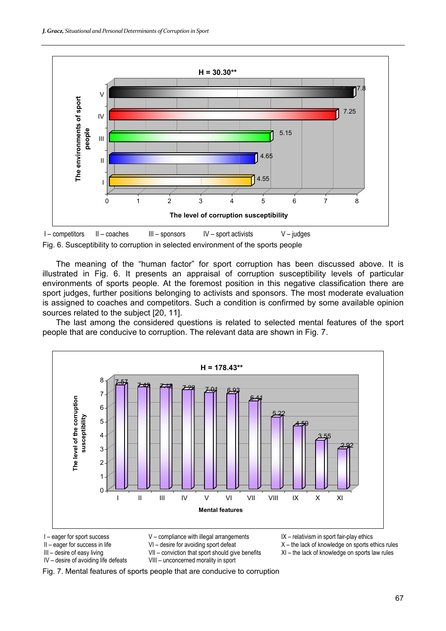



The meaning of the "human factor" for sport corruption has been discussed above. It is illustrated in Fig. 6. It presents an appraisal of corruption susceptibility levels of particular environments of sports people. At the foremost position in this negative classification there are sport judges, further positions belonging to activists and sponsors. The most moderate evaluation is assigned to coaches and competitors. Such a condition is confirmed by some available opinion sources related to the subject [20, 11].

The last among the considered questions is related to selected mental features of the sport people that are conducive to corruption. The relevant data are shown in Fig. 7.



- 
- -
- IV desire of avoiding life defeats VIII unconcerned morality in sport
- I eager for sport success V compliance with illegal arrangements IX relativism in sport fair-play ethics

II – eager for success in life  $VI$  – desire for avoiding sport defeat  $X$  – the lack of knowledge on sports ethics rules<br>III – desire of easy living  $VII$  – conviction that sport should give benefits  $XI$  – the lack of kno

III – desire of easy living VII – conviction that sport should give benefits XI – the lack of knowledge on sports law rules

Fig. 7. Mental features of sports people that are conducive to corruption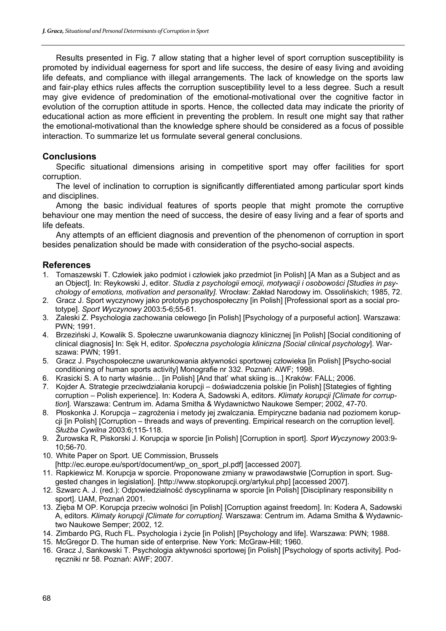Results presented in Fig. 7 allow stating that a higher level of sport corruption susceptibility is promoted by individual eagerness for sport and life success, the desire of easy living and avoiding life defeats, and compliance with illegal arrangements. The lack of knowledge on the sports law and fair-play ethics rules affects the corruption susceptibility level to a less degree. Such a result may give evidence of predomination of the emotional-motivational over the cognitive factor in evolution of the corruption attitude in sports. Hence, the collected data may indicate the priority of educational action as more efficient in preventing the problem. In result one might say that rather the emotional-motivational than the knowledge sphere should be considered as a focus of possible interaction. To summarize let us formulate several general conclusions.

# **Conclusions**

Specific situational dimensions arising in competitive sport may offer facilities for sport corruption.

The level of inclination to corruption is significantly differentiated among particular sport kinds and disciplines.

Among the basic individual features of sports people that might promote the corruptive behaviour one may mention the need of success, the desire of easy living and a fear of sports and life defeats.

Any attempts of an efficient diagnosis and prevention of the phenomenon of corruption in sport besides penalization should be made with consideration of the psycho-social aspects.

## **References**

- 1. Tomaszewski T. Człowiek jako podmiot i człowiek jako przedmiot [in Polish] [A Man as a Subject and as an Object]. In: Reykowski J, editor. *Studia z psychologii emocji, motywacji i osobowości [Studies in psychology of emotions, motivation and personality].* Wrocław: Zakład Narodowy im. Ossolińskich; 1985, 72.
- 2. Gracz J. Sport wyczynowy jako prototyp psychospołeczny [in Polish] [Professional sport as a social prototype]. *Sport Wyczynowy* 2003:5-6;55-61.
- 3. Zaleski Z. Psychologia zachowania celowego [in Polish] [Psychology of a purposeful action]. Warszawa: PWN; 1991.
- 4. Brzeziński J, Kowalik S. Społeczne uwarunkowania diagnozy klinicznej [in Polish] [Social conditioning of clinical diagnosis] In: Sęk H, editor. *Społeczna psychologia kliniczna [Social clinical psychology*]. Warszawa: PWN; 1991.
- 5. Gracz J. Psychospołeczne uwarunkowania aktywności sportowej człowieka [in Polish] [Psycho-social conditioning of human sports activity] Monografie nr 332. Poznań: AWF; 1998.
- 6. Krasicki S. A to narty właśnie… [in Polish] [And that' what skiing is...] Kraków: FALL; 2006.
- 7. Kojder A. Strategie przeciwdziałania korupcji doświadczenia polskie [in Polish] [Stategies of fighting corruption – Polish experience]. In: Kodera A, Sadowski A, editors. *Klimaty korupcji [Climate for corruption*]. Warszawa: Centrum im. Adama Smitha & Wydawnictwo Naukowe Semper; 2002, 47-70.
- 8. Płoskonka J. Korupcja zagrożenia i metody jej zwalczania. Empiryczne badania nad poziomem korupcji [in Polish] [Corruption – threads and ways of preventing. Empirical research on the corruption level]. *Służba Cywilna* 2003:6;115-118.
- 9. Żurowska R, Piskorski J. Korupcja w sporcie [in Polish] [Corruption in sport]. *Sport Wyczynowy* 2003:9- 10;56-70.
- 10. White Paper on Sport. UE Commission, Brussels
- [http://ec.europe.eu/sport/document/wp\_on\_sport\_pl.pdf] [accessed 2007].
- 11. Rapkiewicz M. Korupcja w sporcie. Proponowane zmiany w prawodawstwie [Corruption in sport. Suggested changes in legislation]. [http://www.stopkorupcji.org/artykul.php] [accessed 2007].
- 12. Szwarc A. J. (red.): Odpowiedzialność dyscyplinarna w sporcie [in Polish] [Disciplinary responsibility n sport]. UAM, Poznań 2001.
- 13. Zięba M OP. Korupcja przeciw wolności [in Polish] [Corruption against freedom]. In: Kodera A, Sadowski A, editors. *Klimaty korupcji [Climate for corruption].* Warszawa: Centrum im. Adama Smitha & Wydawnictwo Naukowe Semper; 2002, 12.
- 14. Zimbardo PG, Ruch FL. Psychologia i życie [in Polish] [Psychology and life]. Warszawa: PWN; 1988.
- 15. McGregor D. The human side of enterprise. New York: McGraw-Hill; 1960.
- 16. Gracz J, Sankowski T. Psychologia aktywności sportowej [in Polish] [Psychology of sports activity]. Podręczniki nr 58. Poznań: AWF; 2007.